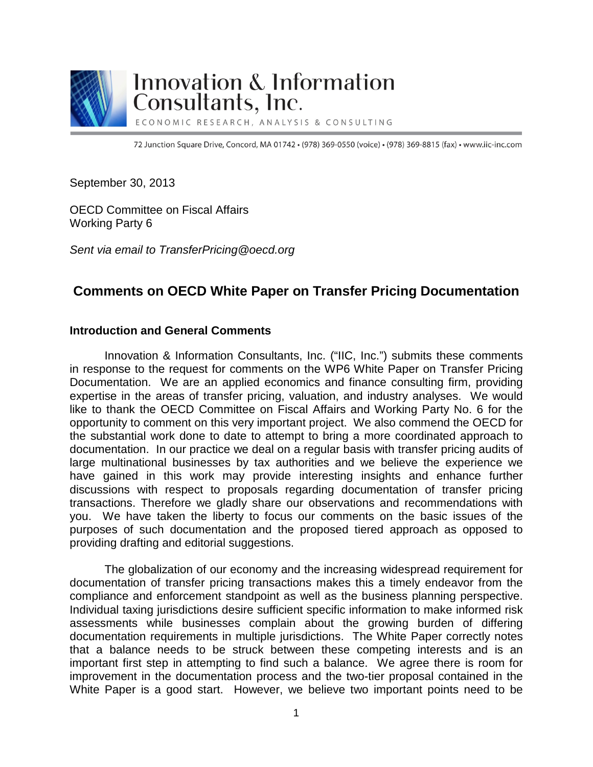

# Innovation & Information Consultants, Inc.

ECONOMIC RESEARCH, ANALYSIS & CONSULTING

72 Junction Square Drive, Concord, MA 01742 · (978) 369-0550 (voice) · (978) 369-8815 (fax) · www.iic-inc.com

September 30, 2013

OECD Committee on Fiscal Affairs Working Party 6

*Sent via email to TransferPricing@oecd.org*

## **Comments on OECD White Paper on Transfer Pricing Documentation**

#### **Introduction and General Comments**

Innovation & Information Consultants, Inc. ("IIC, Inc.") submits these comments in response to the request for comments on the WP6 White Paper on Transfer Pricing Documentation. We are an applied economics and finance consulting firm, providing expertise in the areas of transfer pricing, valuation, and industry analyses. We would like to thank the OECD Committee on Fiscal Affairs and Working Party No. 6 for the opportunity to comment on this very important project. We also commend the OECD for the substantial work done to date to attempt to bring a more coordinated approach to documentation. In our practice we deal on a regular basis with transfer pricing audits of large multinational businesses by tax authorities and we believe the experience we have gained in this work may provide interesting insights and enhance further discussions with respect to proposals regarding documentation of transfer pricing transactions. Therefore we gladly share our observations and recommendations with you. We have taken the liberty to focus our comments on the basic issues of the purposes of such documentation and the proposed tiered approach as opposed to providing drafting and editorial suggestions.

The globalization of our economy and the increasing widespread requirement for documentation of transfer pricing transactions makes this a timely endeavor from the compliance and enforcement standpoint as well as the business planning perspective. Individual taxing jurisdictions desire sufficient specific information to make informed risk assessments while businesses complain about the growing burden of differing documentation requirements in multiple jurisdictions. The White Paper correctly notes that a balance needs to be struck between these competing interests and is an important first step in attempting to find such a balance. We agree there is room for improvement in the documentation process and the two-tier proposal contained in the White Paper is a good start. However, we believe two important points need to be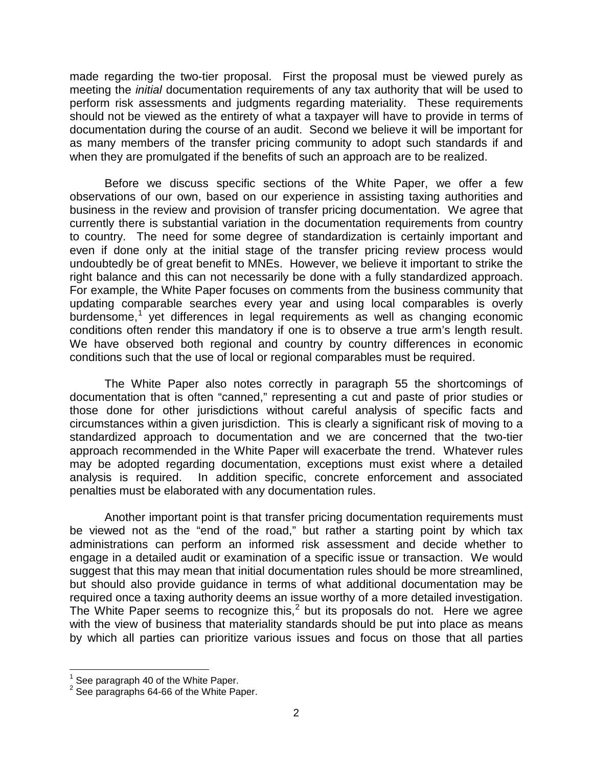made regarding the two-tier proposal. First the proposal must be viewed purely as meeting the *initial* documentation requirements of any tax authority that will be used to perform risk assessments and judgments regarding materiality. These requirements should not be viewed as the entirety of what a taxpayer will have to provide in terms of documentation during the course of an audit. Second we believe it will be important for as many members of the transfer pricing community to adopt such standards if and when they are promulgated if the benefits of such an approach are to be realized.

Before we discuss specific sections of the White Paper, we offer a few observations of our own, based on our experience in assisting taxing authorities and business in the review and provision of transfer pricing documentation. We agree that currently there is substantial variation in the documentation requirements from country to country. The need for some degree of standardization is certainly important and even if done only at the initial stage of the transfer pricing review process would undoubtedly be of great benefit to MNEs. However, we believe it important to strike the right balance and this can not necessarily be done with a fully standardized approach. For example, the White Paper focuses on comments from the business community that updating comparable searches every year and using local comparables is overly burdensome, $1$  yet differences in legal requirements as well as changing economic conditions often render this mandatory if one is to observe a true arm's length result. We have observed both regional and country by country differences in economic conditions such that the use of local or regional comparables must be required.

The White Paper also notes correctly in paragraph 55 the shortcomings of documentation that is often "canned," representing a cut and paste of prior studies or those done for other jurisdictions without careful analysis of specific facts and circumstances within a given jurisdiction. This is clearly a significant risk of moving to a standardized approach to documentation and we are concerned that the two-tier approach recommended in the White Paper will exacerbate the trend. Whatever rules may be adopted regarding documentation, exceptions must exist where a detailed analysis is required. In addition specific, concrete enforcement and associated penalties must be elaborated with any documentation rules.

Another important point is that transfer pricing documentation requirements must be viewed not as the "end of the road," but rather a starting point by which tax administrations can perform an informed risk assessment and decide whether to engage in a detailed audit or examination of a specific issue or transaction. We would suggest that this may mean that initial documentation rules should be more streamlined, but should also provide guidance in terms of what additional documentation may be required once a taxing authority deems an issue worthy of a more detailed investigation. The White Paper seems to recognize this,<sup>[2](#page-1-1)</sup> but its proposals do not. Here we agree with the view of business that materiality standards should be put into place as means by which all parties can prioritize various issues and focus on those that all parties

<span id="page-1-1"></span><span id="page-1-0"></span><sup>&</sup>lt;sup>1</sup> See paragraph 40 of the White Paper.<br><sup>2</sup> See paragraphs 64-66 of the White Paper.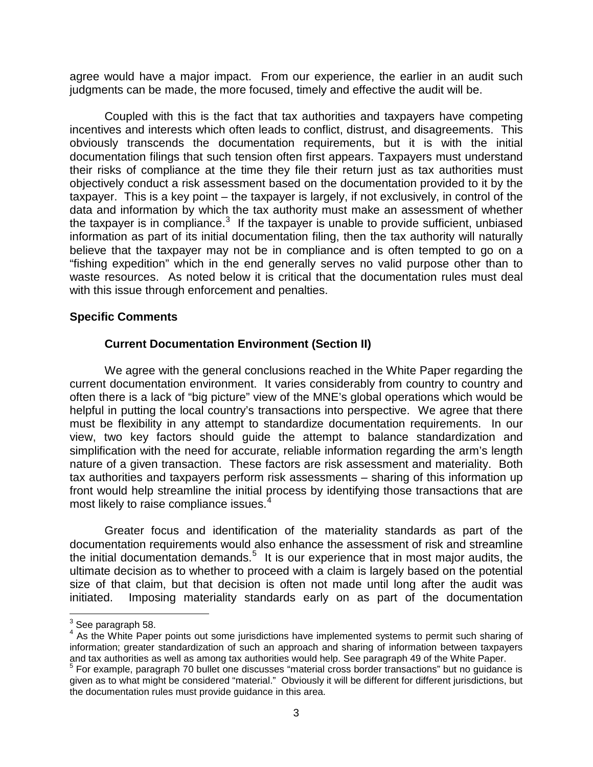agree would have a major impact. From our experience, the earlier in an audit such judgments can be made, the more focused, timely and effective the audit will be.

Coupled with this is the fact that tax authorities and taxpayers have competing incentives and interests which often leads to conflict, distrust, and disagreements. This obviously transcends the documentation requirements, but it is with the initial documentation filings that such tension often first appears. Taxpayers must understand their risks of compliance at the time they file their return just as tax authorities must objectively conduct a risk assessment based on the documentation provided to it by the taxpayer. This is a key point – the taxpayer is largely, if not exclusively, in control of the data and information by which the tax authority must make an assessment of whether the taxpayer is in compliance.<sup>[3](#page-2-0)</sup> If the taxpayer is unable to provide sufficient, unbiased information as part of its initial documentation filing, then the tax authority will naturally believe that the taxpayer may not be in compliance and is often tempted to go on a "fishing expedition" which in the end generally serves no valid purpose other than to waste resources. As noted below it is critical that the documentation rules must deal with this issue through enforcement and penalties.

#### **Specific Comments**

#### **Current Documentation Environment (Section II)**

We agree with the general conclusions reached in the White Paper regarding the current documentation environment. It varies considerably from country to country and often there is a lack of "big picture" view of the MNE's global operations which would be helpful in putting the local country's transactions into perspective. We agree that there must be flexibility in any attempt to standardize documentation requirements. In our view, two key factors should guide the attempt to balance standardization and simplification with the need for accurate, reliable information regarding the arm's length nature of a given transaction. These factors are risk assessment and materiality. Both tax authorities and taxpayers perform risk assessments – sharing of this information up front would help streamline the initial process by identifying those transactions that are most likely to raise compliance issues.<sup>[4](#page-2-1)</sup>

Greater focus and identification of the materiality standards as part of the documentation requirements would also enhance the assessment of risk and streamline the initial documentation demands.<sup>[5](#page-2-2)</sup> It is our experience that in most major audits, the ultimate decision as to whether to proceed with a claim is largely based on the potential size of that claim, but that decision is often not made until long after the audit was initiated. Imposing materiality standards early on as part of the documentation

<span id="page-2-0"></span> $3$  See paragraph 58.

<span id="page-2-1"></span><sup>&</sup>lt;sup>4</sup> As the White Paper points out some jurisdictions have implemented systems to permit such sharing of information; greater standardization of such an approach and sharing of information between taxpayers and tax authorities as well as among tax authorities would help. See paragraph 49 of the White Paper.

<span id="page-2-2"></span><sup>&</sup>lt;sup>5</sup> For example, paragraph 70 bullet one discusses "material cross border transactions" but no guidance is given as to what might be considered "material." Obviously it will be different for different jurisdictions, but the documentation rules must provide guidance in this area.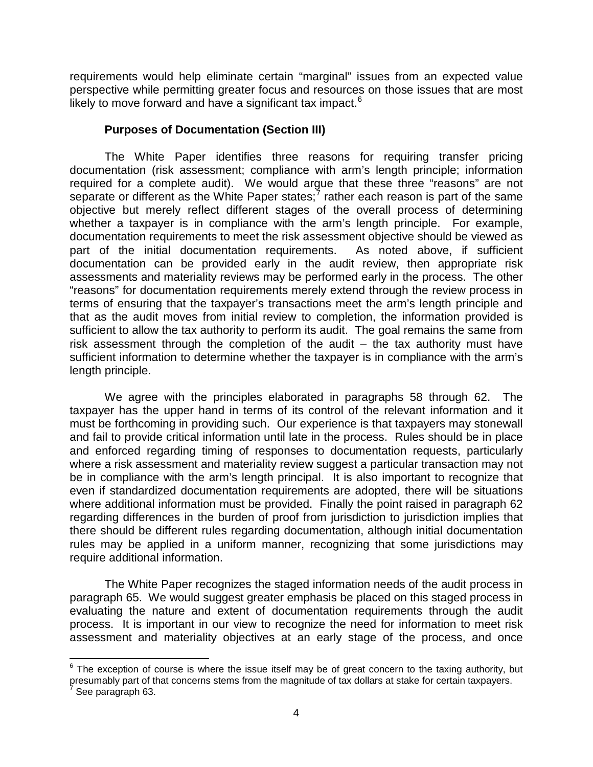requirements would help eliminate certain "marginal" issues from an expected value perspective while permitting greater focus and resources on those issues that are most likely to move forward and have a significant tax impact.<sup>[6](#page-3-0)</sup>

### **Purposes of Documentation (Section III)**

The White Paper identifies three reasons for requiring transfer pricing documentation (risk assessment; compliance with arm's length principle; information required for a complete audit). We would argue that these three "reasons" are not separate or different as the White Paper states;<sup>[7](#page-3-1)</sup> rather each reason is part of the same objective but merely reflect different stages of the overall process of determining whether a taxpayer is in compliance with the arm's length principle. For example, documentation requirements to meet the risk assessment objective should be viewed as part of the initial documentation requirements. As noted above, if sufficient documentation can be provided early in the audit review, then appropriate risk assessments and materiality reviews may be performed early in the process. The other "reasons" for documentation requirements merely extend through the review process in terms of ensuring that the taxpayer's transactions meet the arm's length principle and that as the audit moves from initial review to completion, the information provided is sufficient to allow the tax authority to perform its audit. The goal remains the same from risk assessment through the completion of the audit – the tax authority must have sufficient information to determine whether the taxpayer is in compliance with the arm's length principle.

We agree with the principles elaborated in paragraphs 58 through 62. The taxpayer has the upper hand in terms of its control of the relevant information and it must be forthcoming in providing such. Our experience is that taxpayers may stonewall and fail to provide critical information until late in the process. Rules should be in place and enforced regarding timing of responses to documentation requests, particularly where a risk assessment and materiality review suggest a particular transaction may not be in compliance with the arm's length principal. It is also important to recognize that even if standardized documentation requirements are adopted, there will be situations where additional information must be provided. Finally the point raised in paragraph 62 regarding differences in the burden of proof from jurisdiction to jurisdiction implies that there should be different rules regarding documentation, although initial documentation rules may be applied in a uniform manner, recognizing that some jurisdictions may require additional information.

The White Paper recognizes the staged information needs of the audit process in paragraph 65. We would suggest greater emphasis be placed on this staged process in evaluating the nature and extent of documentation requirements through the audit process. It is important in our view to recognize the need for information to meet risk assessment and materiality objectives at an early stage of the process, and once

<span id="page-3-0"></span> $6$  The exception of course is where the issue itself may be of great concern to the taxing authority, but presumably part of that concerns stems from the magnitude of tax dollars at stake for certain taxpayers.

<span id="page-3-1"></span>See paragraph 63.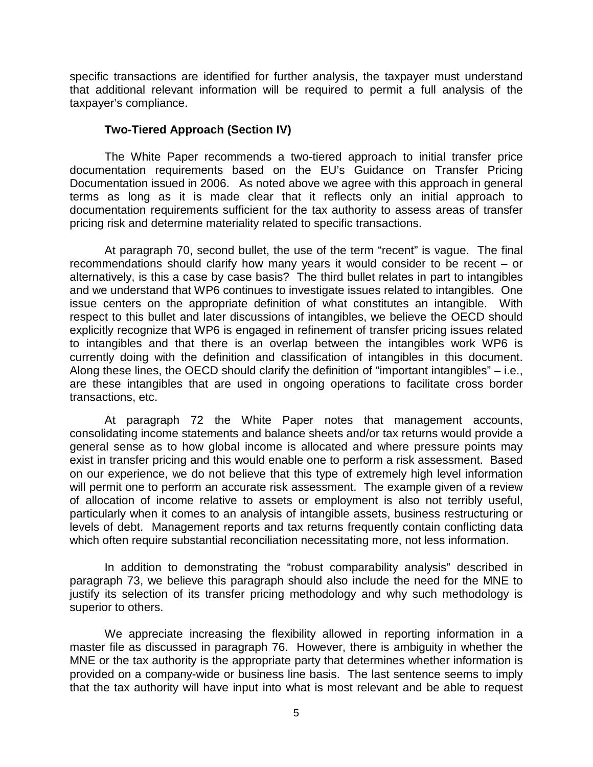specific transactions are identified for further analysis, the taxpayer must understand that additional relevant information will be required to permit a full analysis of the taxpayer's compliance.

#### **Two-Tiered Approach (Section IV)**

The White Paper recommends a two-tiered approach to initial transfer price documentation requirements based on the EU's Guidance on Transfer Pricing Documentation issued in 2006. As noted above we agree with this approach in general terms as long as it is made clear that it reflects only an initial approach to documentation requirements sufficient for the tax authority to assess areas of transfer pricing risk and determine materiality related to specific transactions.

At paragraph 70, second bullet, the use of the term "recent" is vague. The final recommendations should clarify how many years it would consider to be recent – or alternatively, is this a case by case basis? The third bullet relates in part to intangibles and we understand that WP6 continues to investigate issues related to intangibles. One issue centers on the appropriate definition of what constitutes an intangible. With respect to this bullet and later discussions of intangibles, we believe the OECD should explicitly recognize that WP6 is engaged in refinement of transfer pricing issues related to intangibles and that there is an overlap between the intangibles work WP6 is currently doing with the definition and classification of intangibles in this document. Along these lines, the OECD should clarify the definition of "important intangibles" – i.e., are these intangibles that are used in ongoing operations to facilitate cross border transactions, etc.

At paragraph 72 the White Paper notes that management accounts, consolidating income statements and balance sheets and/or tax returns would provide a general sense as to how global income is allocated and where pressure points may exist in transfer pricing and this would enable one to perform a risk assessment. Based on our experience, we do not believe that this type of extremely high level information will permit one to perform an accurate risk assessment. The example given of a review of allocation of income relative to assets or employment is also not terribly useful, particularly when it comes to an analysis of intangible assets, business restructuring or levels of debt. Management reports and tax returns frequently contain conflicting data which often require substantial reconciliation necessitating more, not less information.

In addition to demonstrating the "robust comparability analysis" described in paragraph 73, we believe this paragraph should also include the need for the MNE to justify its selection of its transfer pricing methodology and why such methodology is superior to others.

We appreciate increasing the flexibility allowed in reporting information in a master file as discussed in paragraph 76. However, there is ambiguity in whether the MNE or the tax authority is the appropriate party that determines whether information is provided on a company-wide or business line basis. The last sentence seems to imply that the tax authority will have input into what is most relevant and be able to request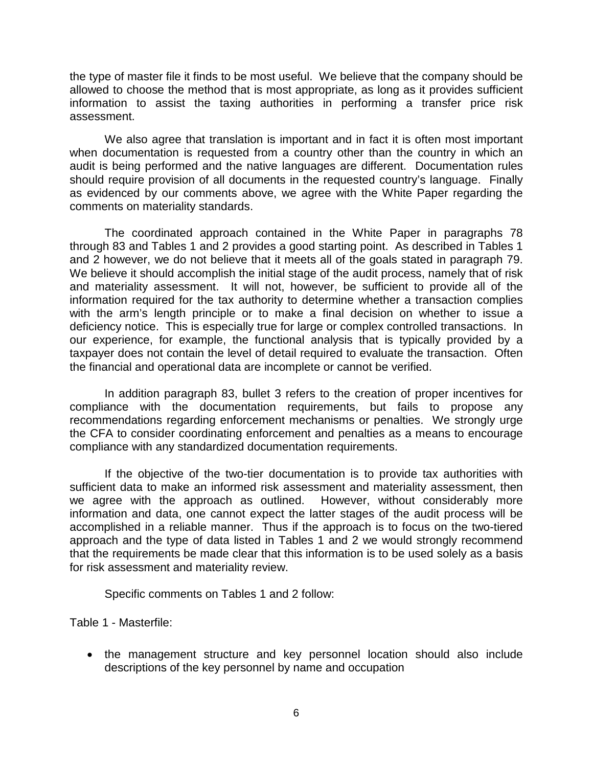the type of master file it finds to be most useful. We believe that the company should be allowed to choose the method that is most appropriate, as long as it provides sufficient information to assist the taxing authorities in performing a transfer price risk assessment.

We also agree that translation is important and in fact it is often most important when documentation is requested from a country other than the country in which an audit is being performed and the native languages are different. Documentation rules should require provision of all documents in the requested country's language. Finally as evidenced by our comments above, we agree with the White Paper regarding the comments on materiality standards.

The coordinated approach contained in the White Paper in paragraphs 78 through 83 and Tables 1 and 2 provides a good starting point. As described in Tables 1 and 2 however, we do not believe that it meets all of the goals stated in paragraph 79. We believe it should accomplish the initial stage of the audit process, namely that of risk and materiality assessment. It will not, however, be sufficient to provide all of the information required for the tax authority to determine whether a transaction complies with the arm's length principle or to make a final decision on whether to issue a deficiency notice. This is especially true for large or complex controlled transactions. In our experience, for example, the functional analysis that is typically provided by a taxpayer does not contain the level of detail required to evaluate the transaction. Often the financial and operational data are incomplete or cannot be verified.

In addition paragraph 83, bullet 3 refers to the creation of proper incentives for compliance with the documentation requirements, but fails to propose any recommendations regarding enforcement mechanisms or penalties. We strongly urge the CFA to consider coordinating enforcement and penalties as a means to encourage compliance with any standardized documentation requirements.

If the objective of the two-tier documentation is to provide tax authorities with sufficient data to make an informed risk assessment and materiality assessment, then we agree with the approach as outlined. However, without considerably more information and data, one cannot expect the latter stages of the audit process will be accomplished in a reliable manner. Thus if the approach is to focus on the two-tiered approach and the type of data listed in Tables 1 and 2 we would strongly recommend that the requirements be made clear that this information is to be used solely as a basis for risk assessment and materiality review.

Specific comments on Tables 1 and 2 follow:

Table 1 - Masterfile:

• the management structure and key personnel location should also include descriptions of the key personnel by name and occupation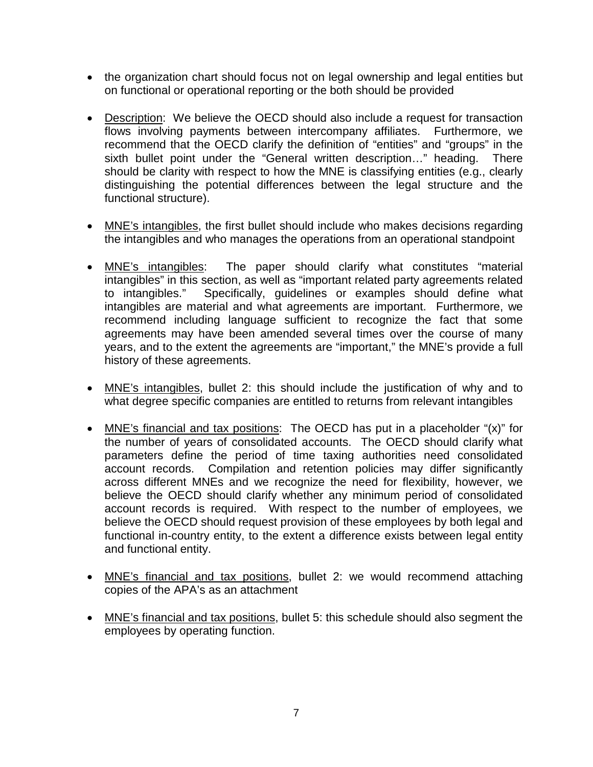- the organization chart should focus not on legal ownership and legal entities but on functional or operational reporting or the both should be provided
- Description: We believe the OECD should also include a request for transaction flows involving payments between intercompany affiliates. Furthermore, we recommend that the OECD clarify the definition of "entities" and "groups" in the sixth bullet point under the "General written description…" heading. There should be clarity with respect to how the MNE is classifying entities (e.g., clearly distinguishing the potential differences between the legal structure and the functional structure).
- MNE's intangibles, the first bullet should include who makes decisions regarding the intangibles and who manages the operations from an operational standpoint
- MNE's intangibles: The paper should clarify what constitutes "material intangibles" in this section, as well as "important related party agreements related to intangibles." Specifically, guidelines or examples should define what intangibles are material and what agreements are important. Furthermore, we recommend including language sufficient to recognize the fact that some agreements may have been amended several times over the course of many years, and to the extent the agreements are "important," the MNE's provide a full history of these agreements.
- MNE's intangibles, bullet 2: this should include the justification of why and to what degree specific companies are entitled to returns from relevant intangibles
- MNE's financial and tax positions: The OECD has put in a placeholder "(x)" for the number of years of consolidated accounts. The OECD should clarify what parameters define the period of time taxing authorities need consolidated account records. Compilation and retention policies may differ significantly across different MNEs and we recognize the need for flexibility, however, we believe the OECD should clarify whether any minimum period of consolidated account records is required. With respect to the number of employees, we believe the OECD should request provision of these employees by both legal and functional in-country entity, to the extent a difference exists between legal entity and functional entity.
- MNE's financial and tax positions, bullet 2: we would recommend attaching copies of the APA's as an attachment
- MNE's financial and tax positions, bullet 5: this schedule should also segment the employees by operating function.